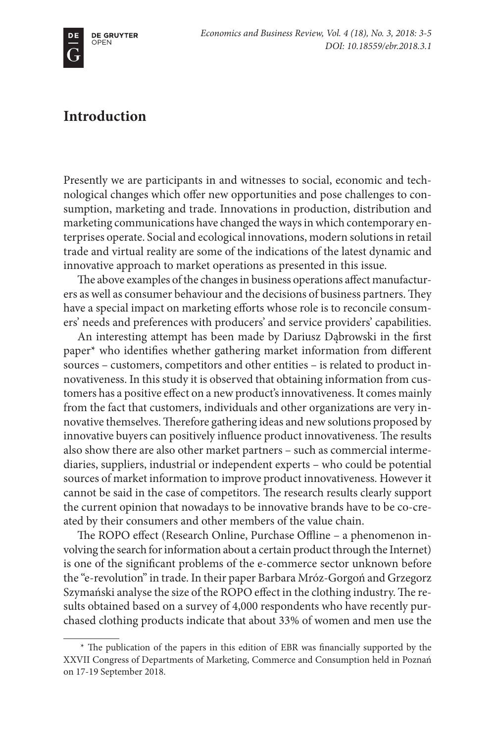## **Introduction**

Presently we are participants in and witnesses to social, economic and technological changes which offer new opportunities and pose challenges to consumption, marketing and trade. Innovations in production, distribution and marketing communications have changed the ways in which contemporary enterprises operate. Social and ecological innovations, modern solutions in retail trade and virtual reality are some of the indications of the latest dynamic and innovative approach to market operations as presented in this issue.

The above examples of the changes in business operations affect manufacturers as well as consumer behaviour and the decisions of business partners. They have a special impact on marketing efforts whose role is to reconcile consumers' needs and preferences with producers' and service providers' capabilities.

An interesting attempt has been made by Dariusz Dąbrowski in the first paper\* who identifies whether gathering market information from different sources – customers, competitors and other entities – is related to product innovativeness. In this study it is observed that obtaining information from customers has a positive effect on a new product's innovativeness. It comes mainly from the fact that customers, individuals and other organizations are very innovative themselves. Therefore gathering ideas and new solutions proposed by innovative buyers can positively influence product innovativeness. The results also show there are also other market partners – such as commercial intermediaries, suppliers, industrial or independent experts – who could be potential sources of market information to improve product innovativeness. However it cannot be said in the case of competitors. The research results clearly support the current opinion that nowadays to be innovative brands have to be co-created by their consumers and other members of the value chain.

The ROPO effect (Research Online, Purchase Offline – a phenomenon involving the search for information about a certain product through the Internet) is one of the significant problems of the e-commerce sector unknown before the "e-revolution" in trade. In their paper Barbara Mróz-Gorgoń and Grzegorz Szymański analyse the size of the ROPO effect in the clothing industry. The results obtained based on a survey of 4,000 respondents who have recently purchased clothing products indicate that about 33% of women and men use the

<sup>\*</sup> The publication of the papers in this edition of EBR was financially supported by the XXVII Congress of Departments of Marketing, Commerce and Consumption held in Poznań on 17-19 September 2018.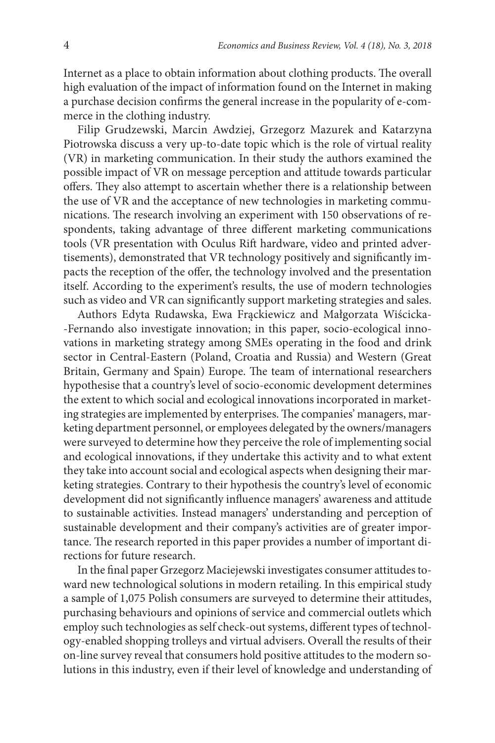Internet as a place to obtain information about clothing products. The overall high evaluation of the impact of information found on the Internet in making a purchase decision confirms the general increase in the popularity of e-commerce in the clothing industry.

Filip Grudzewski, Marcin Awdziej, Grzegorz Mazurek and Katarzyna Piotrowska discuss a very up-to-date topic which is the role of virtual reality (VR) in marketing communication. In their study the authors examined the possible impact of VR on message perception and attitude towards particular offers. They also attempt to ascertain whether there is a relationship between the use of VR and the acceptance of new technologies in marketing communications. The research involving an experiment with 150 observations of respondents, taking advantage of three different marketing communications tools (VR presentation with Oculus Rift hardware, video and printed advertisements), demonstrated that VR technology positively and significantly impacts the reception of the offer, the technology involved and the presentation itself. According to the experiment's results, the use of modern technologies such as video and VR can significantly support marketing strategies and sales.

Authors Edyta Rudawska, Ewa Frąckiewicz and Małgorzata Wiścicka- -Fernando also investigate innovation; in this paper, socio-ecological innovations in marketing strategy among SMEs operating in the food and drink sector in Central-Eastern (Poland, Croatia and Russia) and Western (Great Britain, Germany and Spain) Europe. The team of international researchers hypothesise that a country's level of socio-economic development determines the extent to which social and ecological innovations incorporated in marketing strategies are implemented by enterprises. The companies' managers, marketing department personnel, or employees delegated by the owners/managers were surveyed to determine how they perceive the role of implementing social and ecological innovations, if they undertake this activity and to what extent they take into account social and ecological aspects when designing their marketing strategies. Contrary to their hypothesis the country's level of economic development did not significantly influence managers' awareness and attitude to sustainable activities. Instead managers' understanding and perception of sustainable development and their company's activities are of greater importance. The research reported in this paper provides a number of important directions for future research.

In the final paper Grzegorz Maciejewski investigates consumer attitudes toward new technological solutions in modern retailing. In this empirical study a sample of 1,075 Polish consumers are surveyed to determine their attitudes, purchasing behaviours and opinions of service and commercial outlets which employ such technologies as self check-out systems, different types of technology-enabled shopping trolleys and virtual advisers. Overall the results of their on-line survey reveal that consumers hold positive attitudes to the modern solutions in this industry, even if their level of knowledge and understanding of